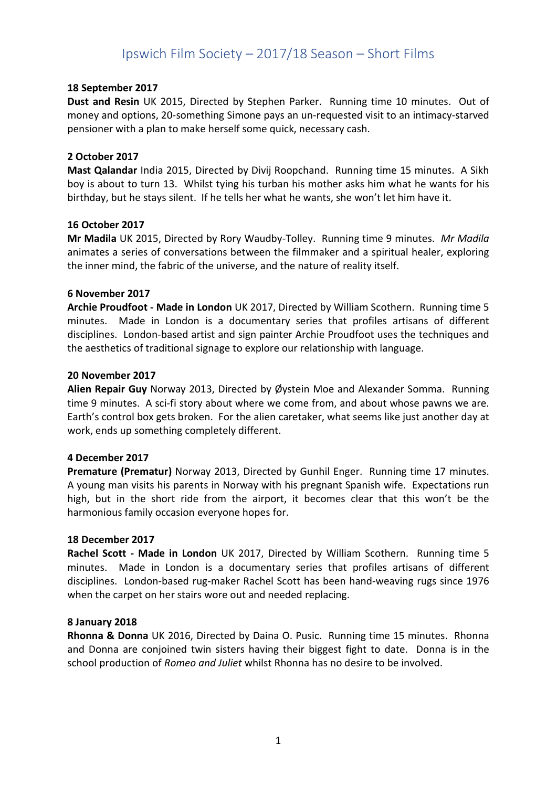# Ipswich Film Society – 2017/18 Season – Short Films

## 18 September 2017

Dust and Resin UK 2015, Directed by Stephen Parker. Running time 10 minutes. Out of money and options, 20-something Simone pays an un-requested visit to an intimacy-starved pensioner with a plan to make herself some quick, necessary cash.

## 2 October 2017

Mast Qalandar India 2015, Directed by Divij Roopchand. Running time 15 minutes. A Sikh boy is about to turn 13. Whilst tying his turban his mother asks him what he wants for his birthday, but he stays silent. If he tells her what he wants, she won't let him have it.

## 16 October 2017

Mr Madila UK 2015, Directed by Rory Waudby-Tolley. Running time 9 minutes. Mr Madila animates a series of conversations between the filmmaker and a spiritual healer, exploring the inner mind, the fabric of the universe, and the nature of reality itself.

## 6 November 2017

Archie Proudfoot - Made in London UK 2017, Directed by William Scothern. Running time 5 minutes. Made in London is a documentary series that profiles artisans of different disciplines. London-based artist and sign painter Archie Proudfoot uses the techniques and the aesthetics of traditional signage to explore our relationship with language.

### 20 November 2017

Alien Repair Guy Norway 2013, Directed by Øystein Moe and Alexander Somma. Running time 9 minutes. A sci-fi story about where we come from, and about whose pawns we are. Earth's control box gets broken. For the alien caretaker, what seems like just another day at work, ends up something completely different.

# 4 December 2017

Premature (Prematur) Norway 2013, Directed by Gunhil Enger. Running time 17 minutes. A young man visits his parents in Norway with his pregnant Spanish wife. Expectations run high, but in the short ride from the airport, it becomes clear that this won't be the harmonious family occasion everyone hopes for.

### 18 December 2017

Rachel Scott - Made in London UK 2017, Directed by William Scothern. Running time 5 minutes. Made in London is a documentary series that profiles artisans of different disciplines. London-based rug-maker Rachel Scott has been hand-weaving rugs since 1976 when the carpet on her stairs wore out and needed replacing.

### 8 January 2018

Rhonna & Donna UK 2016, Directed by Daina O. Pusic. Running time 15 minutes. Rhonna and Donna are conjoined twin sisters having their biggest fight to date. Donna is in the school production of Romeo and Juliet whilst Rhonna has no desire to be involved.